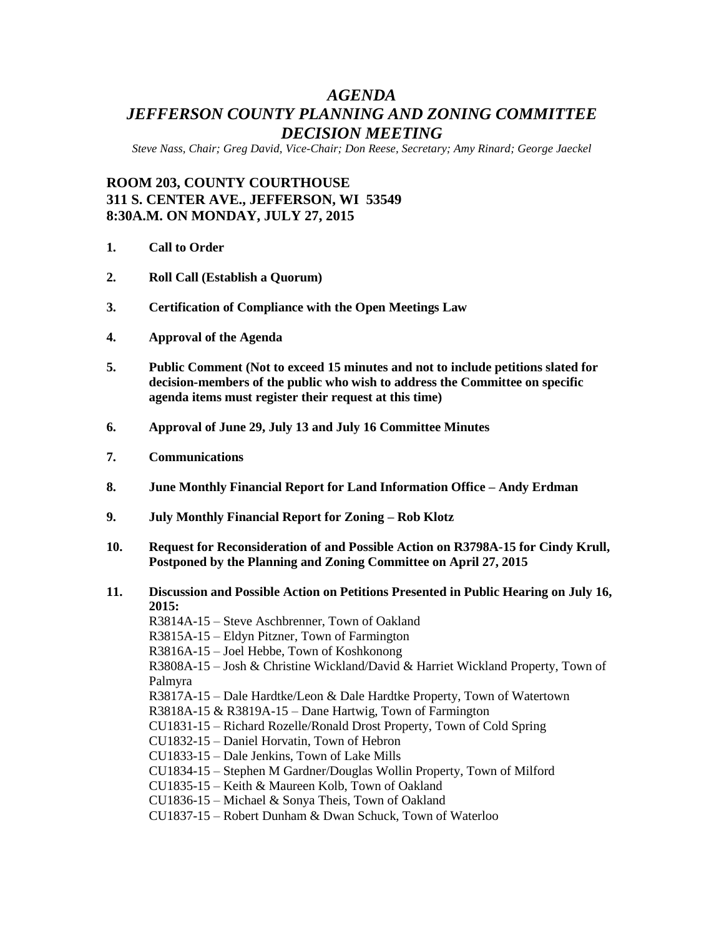## *AGENDA JEFFERSON COUNTY PLANNING AND ZONING COMMITTEE DECISION MEETING*

*Steve Nass, Chair; Greg David, Vice-Chair; Don Reese, Secretary; Amy Rinard; George Jaeckel*

## **ROOM 203, COUNTY COURTHOUSE 311 S. CENTER AVE., JEFFERSON, WI 53549 8:30A.M. ON MONDAY, JULY 27, 2015**

- **1. Call to Order**
- **2. Roll Call (Establish a Quorum)**
- **3. Certification of Compliance with the Open Meetings Law**
- **4. Approval of the Agenda**
- **5. Public Comment (Not to exceed 15 minutes and not to include petitions slated for decision-members of the public who wish to address the Committee on specific agenda items must register their request at this time)**
- **6. Approval of June 29, July 13 and July 16 Committee Minutes**
- **7. Communications**
- **8. June Monthly Financial Report for Land Information Office – Andy Erdman**
- **9. July Monthly Financial Report for Zoning – Rob Klotz**
- **10. Request for Reconsideration of and Possible Action on R3798A-15 for Cindy Krull, Postponed by the Planning and Zoning Committee on April 27, 2015**
- **11. Discussion and Possible Action on Petitions Presented in Public Hearing on July 16, 2015:**

R3814A-15 – Steve Aschbrenner, Town of Oakland R3815A-15 – Eldyn Pitzner, Town of Farmington R3816A-15 – Joel Hebbe, Town of Koshkonong R3808A-15 – Josh & Christine Wickland/David & Harriet Wickland Property, Town of Palmyra R3817A-15 – Dale Hardtke/Leon & Dale Hardtke Property, Town of Watertown R3818A-15 & R3819A-15 – Dane Hartwig, Town of Farmington CU1831-15 – Richard Rozelle/Ronald Drost Property, Town of Cold Spring CU1832-15 – Daniel Horvatin, Town of Hebron CU1833-15 – Dale Jenkins, Town of Lake Mills CU1834-15 – Stephen M Gardner/Douglas Wollin Property, Town of Milford CU1835-15 – Keith & Maureen Kolb, Town of Oakland CU1836-15 – Michael & Sonya Theis, Town of Oakland CU1837-15 – Robert Dunham & Dwan Schuck, Town of Waterloo